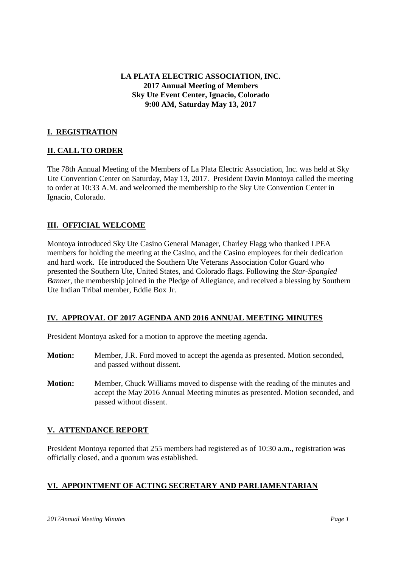**LA PLATA ELECTRIC ASSOCIATION, INC. 2017 Annual Meeting of Members Sky Ute Event Center, Ignacio, Colorado 9:00 AM, Saturday May 13, 2017**

## **I. REGISTRATION**

#### **II. CALL TO ORDER**

The 78th Annual Meeting of the Members of La Plata Electric Association, Inc. was held at Sky Ute Convention Center on Saturday, May 13, 2017. President Davin Montoya called the meeting to order at 10:33 A.M. and welcomed the membership to the Sky Ute Convention Center in Ignacio, Colorado.

## **III. OFFICIAL WELCOME**

Montoya introduced Sky Ute Casino General Manager, Charley Flagg who thanked LPEA members for holding the meeting at the Casino, and the Casino employees for their dedication and hard work. He introduced the Southern Ute Veterans Association Color Guard who presented the Southern Ute, United States, and Colorado flags. Following the *Star-Spangled Banner*, the membership joined in the Pledge of Allegiance, and received a blessing by Southern Ute Indian Tribal member, Eddie Box Jr.

#### **IV. APPROVAL OF 2017 AGENDA AND 2016 ANNUAL MEETING MINUTES**

President Montoya asked for a motion to approve the meeting agenda.

- **Motion:** Member, J.R. Ford moved to accept the agenda as presented. Motion seconded, and passed without dissent.
- **Motion:** Member, Chuck Williams moved to dispense with the reading of the minutes and accept the May 2016 Annual Meeting minutes as presented. Motion seconded, and passed without dissent.

#### **V. ATTENDANCE REPORT**

President Montoya reported that 255 members had registered as of 10:30 a.m., registration was officially closed, and a quorum was established.

## **VI. APPOINTMENT OF ACTING SECRETARY AND PARLIAMENTARIAN**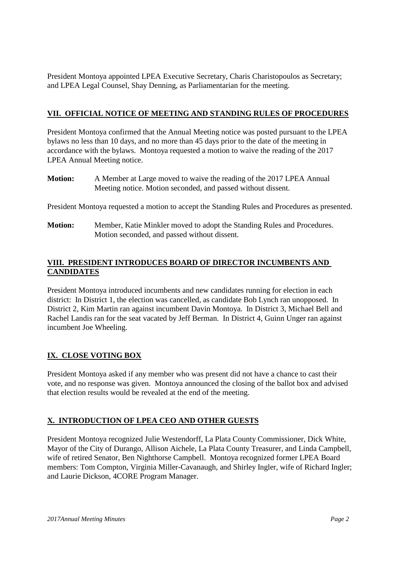President Montoya appointed LPEA Executive Secretary, Charis Charistopoulos as Secretary; and LPEA Legal Counsel, Shay Denning, as Parliamentarian for the meeting.

# **VII. OFFICIAL NOTICE OF MEETING AND STANDING RULES OF PROCEDURES**

President Montoya confirmed that the Annual Meeting notice was posted pursuant to the LPEA bylaws no less than 10 days, and no more than 45 days prior to the date of the meeting in accordance with the bylaws. Montoya requested a motion to waive the reading of the 2017 LPEA Annual Meeting notice.

**Motion:** A Member at Large moved to waive the reading of the 2017 LPEA Annual Meeting notice. Motion seconded, and passed without dissent.

President Montoya requested a motion to accept the Standing Rules and Procedures as presented.

**Motion:** Member, Katie Minkler moved to adopt the Standing Rules and Procedures. Motion seconded, and passed without dissent.

# **VIII. PRESIDENT INTRODUCES BOARD OF DIRECTOR INCUMBENTS AND CANDIDATES**

President Montoya introduced incumbents and new candidates running for election in each district: In District 1, the election was cancelled, as candidate Bob Lynch ran unopposed. In District 2, Kim Martin ran against incumbent Davin Montoya. In District 3, Michael Bell and Rachel Landis ran for the seat vacated by Jeff Berman. In District 4, Guinn Unger ran against incumbent Joe Wheeling.

# **IX. CLOSE VOTING BOX**

President Montoya asked if any member who was present did not have a chance to cast their vote, and no response was given. Montoya announced the closing of the ballot box and advised that election results would be revealed at the end of the meeting.

## **X. INTRODUCTION OF LPEA CEO AND OTHER GUESTS**

President Montoya recognized Julie Westendorff, La Plata County Commissioner, Dick White, Mayor of the City of Durango, Allison Aichele, La Plata County Treasurer, and Linda Campbell, wife of retired Senator, Ben Nighthorse Campbell. Montoya recognized former LPEA Board members: Tom Compton, Virginia Miller-Cavanaugh, and Shirley Ingler, wife of Richard Ingler; and Laurie Dickson, 4CORE Program Manager.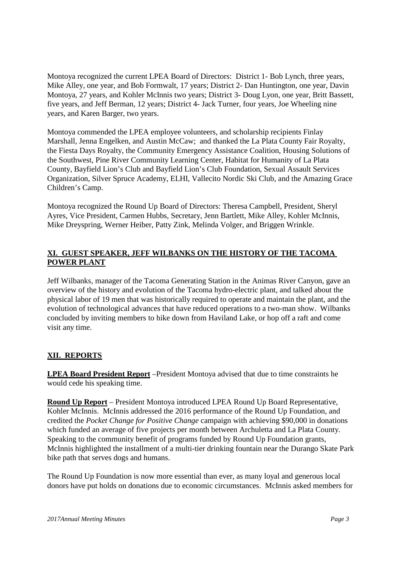Montoya recognized the current LPEA Board of Directors: District 1- Bob Lynch, three years, Mike Alley, one year, and Bob Formwalt, 17 years; District 2- Dan Huntington, one year, Davin Montoya, 27 years, and Kohler McInnis two years; District 3- Doug Lyon, one year, Britt Bassett, five years, and Jeff Berman, 12 years; District 4- Jack Turner, four years, Joe Wheeling nine years, and Karen Barger, two years.

Montoya commended the LPEA employee volunteers, and scholarship recipients Finlay Marshall, Jenna Engelken, and Austin McCaw; and thanked the La Plata County Fair Royalty, the Fiesta Days Royalty, the Community Emergency Assistance Coalition, Housing Solutions of the Southwest, Pine River Community Learning Center, Habitat for Humanity of La Plata County, Bayfield Lion's Club and Bayfield Lion's Club Foundation, Sexual Assault Services Organization, Silver Spruce Academy, ELHI, Vallecito Nordic Ski Club, and the Amazing Grace Children's Camp.

Montoya recognized the Round Up Board of Directors: Theresa Campbell, President, Sheryl Ayres, Vice President, Carmen Hubbs, Secretary, Jenn Bartlett, Mike Alley, Kohler McInnis, Mike Dreyspring, Werner Heiber, Patty Zink, Melinda Volger, and Briggen Wrinkle.

# **XI. GUEST SPEAKER, JEFF WILBANKS ON THE HISTORY OF THE TACOMA POWER PLANT**

Jeff Wilbanks, manager of the Tacoma Generating Station in the Animas River Canyon, gave an overview of the history and evolution of the Tacoma hydro-electric plant, and talked about the physical labor of 19 men that was historically required to operate and maintain the plant, and the evolution of technological advances that have reduced operations to a two-man show. Wilbanks concluded by inviting members to hike down from Haviland Lake, or hop off a raft and come visit any time.

## **XII. REPORTS**

**LPEA Board President Report** –President Montoya advised that due to time constraints he would cede his speaking time.

**Round Up Report** – President Montoya introduced LPEA Round Up Board Representative, Kohler McInnis. McInnis addressed the 2016 performance of the Round Up Foundation, and credited the *Pocket Change for Positive Change* campaign with achieving \$90,000 in donations which funded an average of five projects per month between Archuletta and La Plata County. Speaking to the community benefit of programs funded by Round Up Foundation grants, McInnis highlighted the installment of a multi-tier drinking fountain near the Durango Skate Park bike path that serves dogs and humans.

The Round Up Foundation is now more essential than ever, as many loyal and generous local donors have put holds on donations due to economic circumstances. McInnis asked members for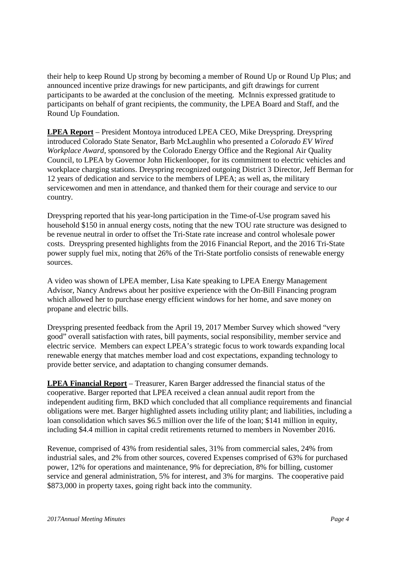their help to keep Round Up strong by becoming a member of Round Up or Round Up Plus; and announced incentive prize drawings for new participants, and gift drawings for current participants to be awarded at the conclusion of the meeting. McInnis expressed gratitude to participants on behalf of grant recipients, the community, the LPEA Board and Staff, and the Round Up Foundation.

**LPEA Report** – President Montoya introduced LPEA CEO, Mike Dreyspring. Dreyspring introduced Colorado State Senator, Barb McLaughlin who presented a *Colorado EV Wired Workplace Award*, sponsored by the Colorado Energy Office and the Regional Air Quality Council, to LPEA by Governor John Hickenlooper, for its commitment to electric vehicles and workplace charging stations. Dreyspring recognized outgoing District 3 Director, Jeff Berman for 12 years of dedication and service to the members of LPEA; as well as, the military servicewomen and men in attendance, and thanked them for their courage and service to our country.

Dreyspring reported that his year-long participation in the Time-of-Use program saved his household \$150 in annual energy costs, noting that the new TOU rate structure was designed to be revenue neutral in order to offset the Tri-State rate increase and control wholesale power costs. Dreyspring presented highlights from the 2016 Financial Report, and the 2016 Tri-State power supply fuel mix, noting that 26% of the Tri-State portfolio consists of renewable energy sources.

A video was shown of LPEA member, Lisa Kate speaking to LPEA Energy Management Advisor, Nancy Andrews about her positive experience with the On-Bill Financing program which allowed her to purchase energy efficient windows for her home, and save money on propane and electric bills.

Dreyspring presented feedback from the April 19, 2017 Member Survey which showed "very good" overall satisfaction with rates, bill payments, social responsibility, member service and electric service. Members can expect LPEA's strategic focus to work towards expanding local renewable energy that matches member load and cost expectations, expanding technology to provide better service, and adaptation to changing consumer demands.

**LPEA Financial Report** – Treasurer, Karen Barger addressed the financial status of the cooperative. Barger reported that LPEA received a clean annual audit report from the independent auditing firm, BKD which concluded that all compliance requirements and financial obligations were met. Barger highlighted assets including utility plant; and liabilities, including a loan consolidation which saves \$6.5 million over the life of the loan; \$141 million in equity, including \$4.4 million in capital credit retirements returned to members in November 2016.

Revenue, comprised of 43% from residential sales, 31% from commercial sales, 24% from industrial sales, and 2% from other sources, covered Expenses comprised of 63% for purchased power, 12% for operations and maintenance, 9% for depreciation, 8% for billing, customer service and general administration, 5% for interest, and 3% for margins. The cooperative paid \$873,000 in property taxes, going right back into the community.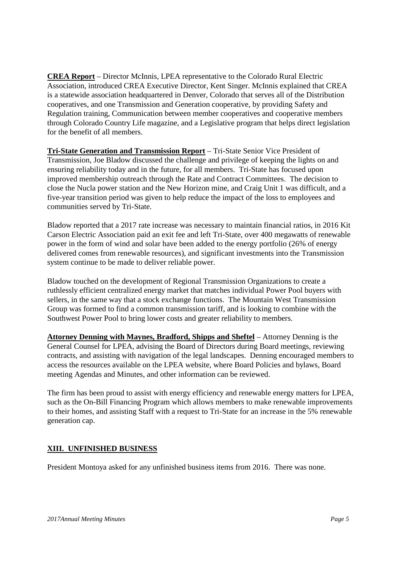**CREA Report** – Director McInnis, LPEA representative to the Colorado Rural Electric Association, introduced CREA Executive Director, Kent Singer. McInnis explained that CREA is a statewide association headquartered in Denver, Colorado that serves all of the Distribution cooperatives, and one Transmission and Generation cooperative, by providing Safety and Regulation training, Communication between member cooperatives and cooperative members through Colorado Country Life magazine, and a Legislative program that helps direct legislation for the benefit of all members.

**Tri-State Generation and Transmission Report** – Tri-State Senior Vice President of Transmission, Joe Bladow discussed the challenge and privilege of keeping the lights on and ensuring reliability today and in the future, for all members. Tri-State has focused upon improved membership outreach through the Rate and Contract Committees. The decision to close the Nucla power station and the New Horizon mine, and Craig Unit 1 was difficult, and a five-year transition period was given to help reduce the impact of the loss to employees and communities served by Tri-State.

Bladow reported that a 2017 rate increase was necessary to maintain financial ratios, in 2016 Kit Carson Electric Association paid an exit fee and left Tri-State, over 400 megawatts of renewable power in the form of wind and solar have been added to the energy portfolio (26% of energy delivered comes from renewable resources), and significant investments into the Transmission system continue to be made to deliver reliable power.

Bladow touched on the development of Regional Transmission Organizations to create a ruthlessly efficient centralized energy market that matches individual Power Pool buyers with sellers, in the same way that a stock exchange functions. The Mountain West Transmission Group was formed to find a common transmission tariff, and is looking to combine with the Southwest Power Pool to bring lower costs and greater reliability to members.

**Attorney Denning with Maynes, Bradford, Shipps and Sheftel** – Attorney Denning is the General Counsel for LPEA, advising the Board of Directors during Board meetings, reviewing contracts, and assisting with navigation of the legal landscapes. Denning encouraged members to access the resources available on the LPEA website, where Board Policies and bylaws, Board meeting Agendas and Minutes, and other information can be reviewed.

The firm has been proud to assist with energy efficiency and renewable energy matters for LPEA, such as the On-Bill Financing Program which allows members to make renewable improvements to their homes, and assisting Staff with a request to Tri-State for an increase in the 5% renewable generation cap.

## **XIII. UNFINISHED BUSINESS**

President Montoya asked for any unfinished business items from 2016. There was none.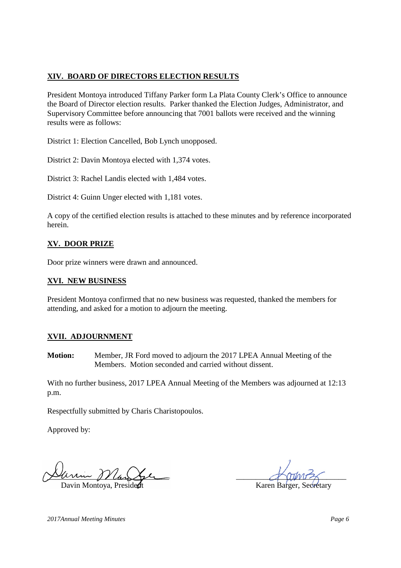# **XIV. BOARD OF DIRECTORS ELECTION RESULTS**

President Montoya introduced Tiffany Parker form La Plata County Clerk's Office to announce the Board of Director election results. Parker thanked the Election Judges, Administrator, and Supervisory Committee before announcing that 7001 ballots were received and the winning results were as follows:

District 1: Election Cancelled, Bob Lynch unopposed.

District 2: Davin Montoya elected with 1,374 votes.

District 3: Rachel Landis elected with 1,484 votes.

District 4: Guinn Unger elected with 1,181 votes.

A copy of the certified election results is attached to these minutes and by reference incorporated herein.

# **XV. DOOR PRIZE**

Door prize winners were drawn and announced.

#### **XVI. NEW BUSINESS**

President Montoya confirmed that no new business was requested, thanked the members for attending, and asked for a motion to adjourn the meeting.

## **XVII. ADJOURNMENT**

**Motion:** Member, JR Ford moved to adjourn the 2017 LPEA Annual Meeting of the Members. Motion seconded and carried without dissent.

With no further business, 2017 LPEA Annual Meeting of the Members was adjourned at 12:13 p.m.

Respectfully submitted by Charis Charistopoulos.

Approved by:

min <u>Wlan</u>

Davin Montova, Preside

*2017Annual Meeting Minutes Page 6*